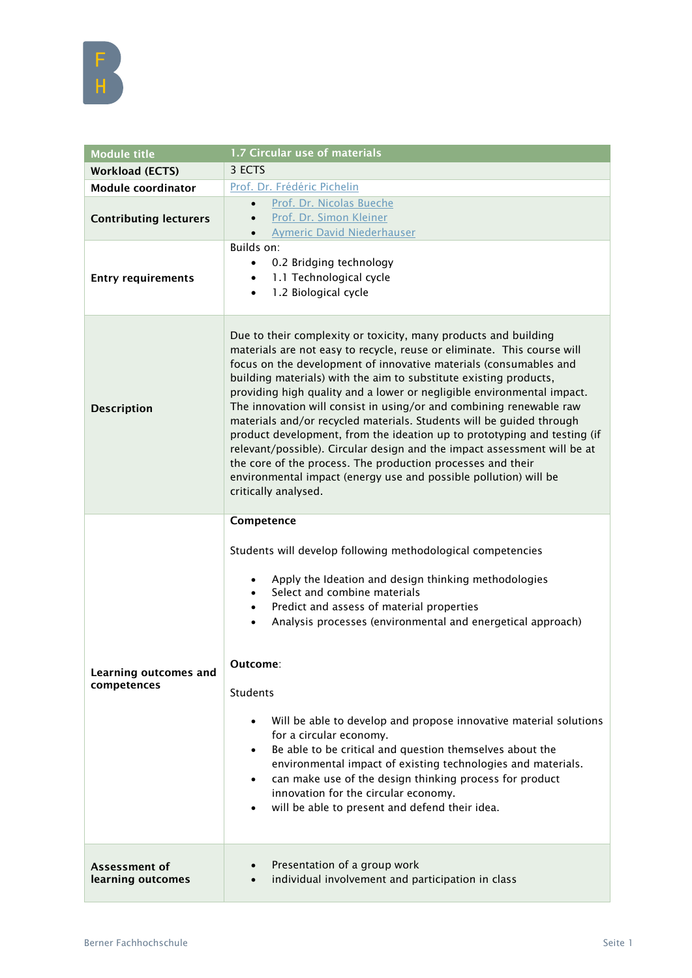| <b>Module title</b>                  | 1.7 Circular use of materials                                                                                                                                                                                                                                                                                                                                                                                                                                                                                                                                                                                                                                                                                                                                                                                                    |
|--------------------------------------|----------------------------------------------------------------------------------------------------------------------------------------------------------------------------------------------------------------------------------------------------------------------------------------------------------------------------------------------------------------------------------------------------------------------------------------------------------------------------------------------------------------------------------------------------------------------------------------------------------------------------------------------------------------------------------------------------------------------------------------------------------------------------------------------------------------------------------|
| <b>Workload (ECTS)</b>               | 3 ECTS                                                                                                                                                                                                                                                                                                                                                                                                                                                                                                                                                                                                                                                                                                                                                                                                                           |
| <b>Module coordinator</b>            | Prof. Dr. Frédéric Pichelin                                                                                                                                                                                                                                                                                                                                                                                                                                                                                                                                                                                                                                                                                                                                                                                                      |
| <b>Contributing lecturers</b>        | Prof. Dr. Nicolas Bueche<br>$\bullet$<br>Prof. Dr. Simon Kleiner<br>$\bullet$<br><b>Aymeric David Niederhauser</b>                                                                                                                                                                                                                                                                                                                                                                                                                                                                                                                                                                                                                                                                                                               |
| <b>Entry requirements</b>            | Builds on:<br>0.2 Bridging technology<br>1.1 Technological cycle<br>$\bullet$<br>1.2 Biological cycle<br>$\bullet$                                                                                                                                                                                                                                                                                                                                                                                                                                                                                                                                                                                                                                                                                                               |
| <b>Description</b>                   | Due to their complexity or toxicity, many products and building<br>materials are not easy to recycle, reuse or eliminate. This course will<br>focus on the development of innovative materials (consumables and<br>building materials) with the aim to substitute existing products,<br>providing high quality and a lower or negligible environmental impact.<br>The innovation will consist in using/or and combining renewable raw<br>materials and/or recycled materials. Students will be guided through<br>product development, from the ideation up to prototyping and testing (if<br>relevant/possible). Circular design and the impact assessment will be at<br>the core of the process. The production processes and their<br>environmental impact (energy use and possible pollution) will be<br>critically analysed. |
| Learning outcomes and<br>competences | Competence<br>Students will develop following methodological competencies<br>Apply the Ideation and design thinking methodologies<br>$\bullet$<br>Select and combine materials<br>$\bullet$<br>Predict and assess of material properties<br>$\bullet$<br>Analysis processes (environmental and energetical approach)<br>$\bullet$<br>Outcome:<br>Students<br>Will be able to develop and propose innovative material solutions<br>for a circular economy.<br>Be able to be critical and question themselves about the<br>$\bullet$<br>environmental impact of existing technologies and materials.<br>can make use of the design thinking process for product<br>$\bullet$<br>innovation for the circular economy.<br>will be able to present and defend their idea.<br>$\bullet$                                                |
| Assessment of<br>learning outcomes   | Presentation of a group work<br>individual involvement and participation in class<br>$\bullet$                                                                                                                                                                                                                                                                                                                                                                                                                                                                                                                                                                                                                                                                                                                                   |